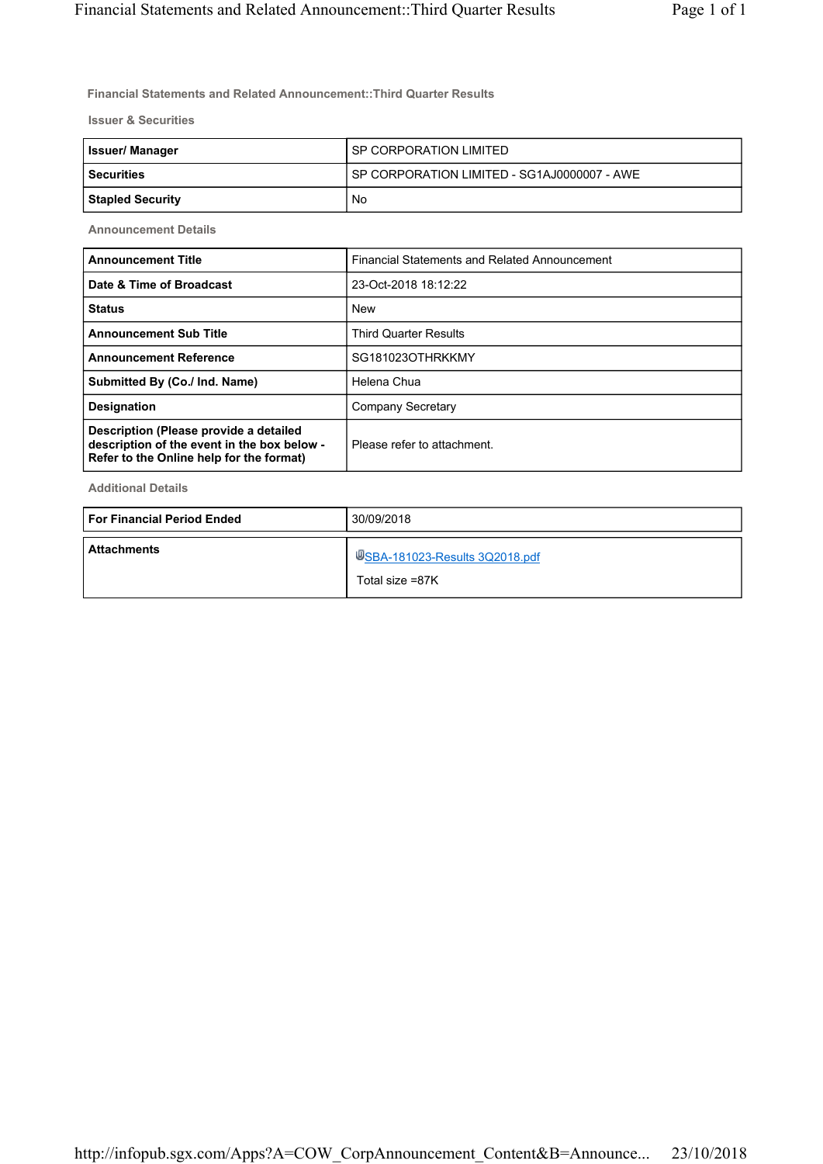**Financial Statements and Related Announcement::Third Quarter Results**

**Issuer & Securities**

| <b>Issuer/Manager</b> | SP CORPORATION LIMITED                      |
|-----------------------|---------------------------------------------|
| l Securities          | SP CORPORATION LIMITED - SG1AJ0000007 - AWE |
| Stapled Security      | No                                          |

**Announcement Details**

| <b>Announcement Title</b>                                                                                                         | Financial Statements and Related Announcement |
|-----------------------------------------------------------------------------------------------------------------------------------|-----------------------------------------------|
| Date & Time of Broadcast                                                                                                          | 23-Oct-2018 18:12:22                          |
| <b>Status</b>                                                                                                                     | <b>New</b>                                    |
| <b>Announcement Sub Title</b>                                                                                                     | <b>Third Quarter Results</b>                  |
| <b>Announcement Reference</b>                                                                                                     | SG181023OTHRKKMY                              |
| Submitted By (Co./ Ind. Name)                                                                                                     | Helena Chua                                   |
| <b>Designation</b>                                                                                                                | Company Secretary                             |
| Description (Please provide a detailed<br>description of the event in the box below -<br>Refer to the Online help for the format) | Please refer to attachment.                   |

**Additional Details**

| l For Financial Period Ended | 30/09/2018                                        |
|------------------------------|---------------------------------------------------|
| <b>Attachments</b>           | USBA-181023-Results 3Q2018.pdf<br>Total size =87K |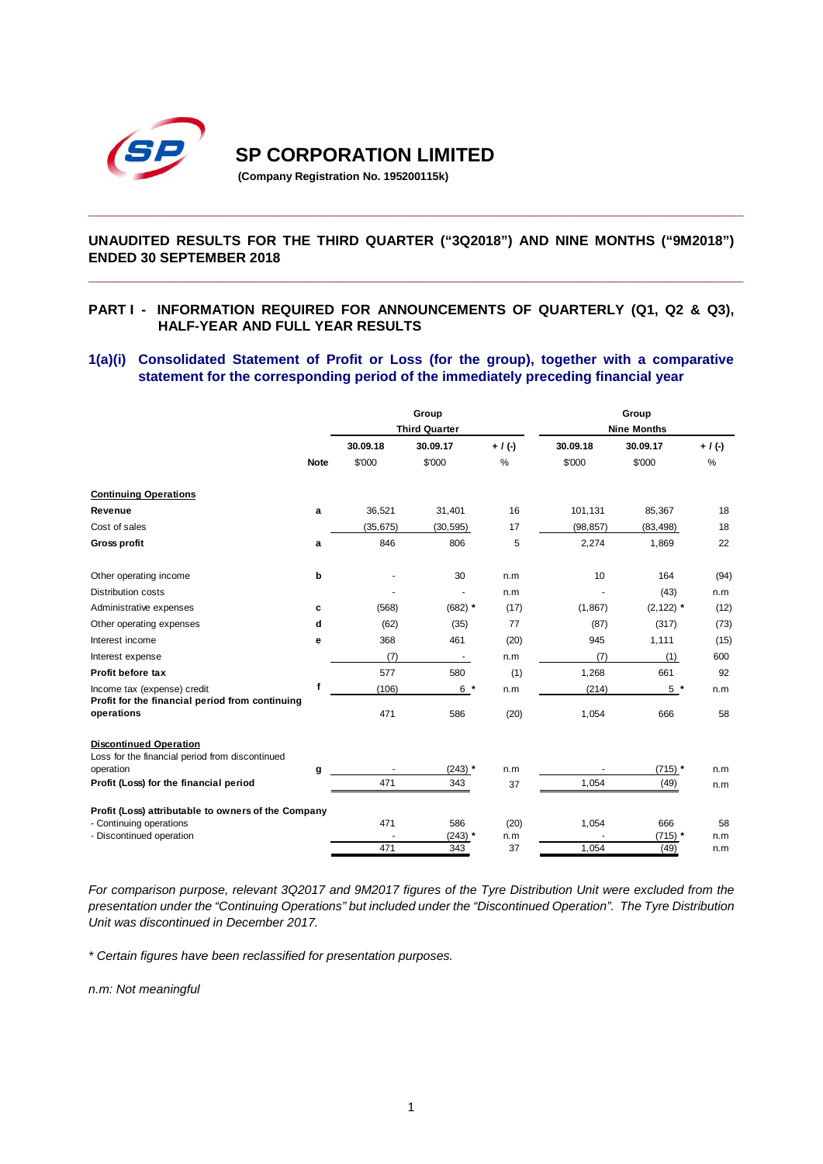

# **SP CORPORATION LIMITED**

**(Company Registration No. 195200115k)**

### **UNAUDITED RESULTS FOR THE THIRD QUARTER ("3Q2018") AND NINE MONTHS ("9M2018") ENDED 30 SEPTEMBER 2018**

**\_\_\_\_\_\_\_\_\_\_\_\_\_\_\_\_\_\_\_\_\_\_\_\_\_\_\_\_\_\_\_\_\_\_\_\_\_\_\_\_\_\_\_\_\_\_\_\_\_\_\_\_\_\_\_\_\_\_\_\_\_\_\_\_\_\_\_\_\_\_\_**

**\_\_\_\_\_\_\_\_\_\_\_\_\_\_\_\_\_\_\_\_\_\_\_\_\_\_\_\_\_\_\_\_\_\_\_\_\_\_\_\_\_\_\_\_\_\_\_\_\_\_\_\_\_\_\_\_\_\_\_\_\_\_\_\_\_\_\_\_\_\_\_**

### **PART I - INFORMATION REQUIRED FOR ANNOUNCEMENTS OF QUARTERLY (Q1, Q2 & Q3), HALF-YEAR AND FULL YEAR RESULTS**

#### **1(a)(i) Consolidated Statement of Profit or Loss (for the group), together with a comparative statement for the corresponding period of the immediately preceding financial year**

|                                                                                  |             |           | Group<br><b>Third Quarter</b> |             | Group<br><b>Nine Months</b> |                   |             |  |
|----------------------------------------------------------------------------------|-------------|-----------|-------------------------------|-------------|-----------------------------|-------------------|-------------|--|
|                                                                                  |             | 30.09.18  | 30.09.17                      | $+ / ( - )$ | 30.09.18                    | 30.09.17          | $+ / ( - )$ |  |
|                                                                                  | <b>Note</b> | \$'000    | \$'000                        | %           | \$'000                      | \$'000            | %           |  |
| <b>Continuing Operations</b>                                                     |             |           |                               |             |                             |                   |             |  |
| Revenue                                                                          | a           | 36,521    | 31,401                        | 16          | 101.131                     | 85,367            | 18          |  |
| Cost of sales                                                                    |             | (35, 675) | (30, 595)                     | 17          | (98, 857)                   | (83, 498)         | 18          |  |
| <b>Gross profit</b>                                                              | a           | 846       | 806                           | 5           | 2,274                       | 1,869             | 22          |  |
| Other operating income                                                           | b           |           | 30                            | n.m         | 10                          | 164               | (94)        |  |
| Distribution costs                                                               |             |           |                               | n.m         |                             | (43)              | n.m         |  |
| Administrative expenses                                                          | c           | (568)     | $(682)$ *                     | (17)        | (1, 867)                    | $(2, 122)$ *      | (12)        |  |
| Other operating expenses                                                         | d           | (62)      | (35)                          | 77          | (87)                        | (317)             | (73)        |  |
| Interest income                                                                  | е           | 368       | 461                           | (20)        | 945                         | 1,111             | (15)        |  |
| Interest expense                                                                 |             | (7)       |                               | n.m         | (7)                         | (1)               | 600         |  |
| Profit before tax                                                                |             | 577       | 580                           | (1)         | 1,268                       | 661               | 92          |  |
| Income tax (expense) credit<br>Profit for the financial period from continuing   | f           | (106)     | $6*$                          | n.m         | (214)                       | $5*$              | n.m         |  |
| operations                                                                       |             | 471       | 586                           | (20)        | 1,054                       | 666               | 58          |  |
| <b>Discontinued Operation</b><br>Loss for the financial period from discontinued |             |           |                               |             |                             |                   |             |  |
| operation                                                                        | g           |           | $(243)$ *                     | n.m         |                             | $(715)$ *         | n.m         |  |
| Profit (Loss) for the financial period                                           |             | 471       | 343                           | 37          | 1,054                       | (49)              | n.m         |  |
| Profit (Loss) attributable to owners of the Company                              |             |           |                               |             |                             |                   |             |  |
| - Continuing operations                                                          |             | 471       | 586                           | (20)        | 1,054                       | 666               | 58          |  |
| - Discontinued operation                                                         |             | 471       | $(243)$ *<br>343              | n.m<br>37   | 1,054                       | $(715)$ *<br>(49) | n.m<br>n.m  |  |
|                                                                                  |             |           |                               |             |                             |                   |             |  |

*For comparison purpose, relevant 3Q2017 and 9M2017 figures of the Tyre Distribution Unit were excluded from the presentation under the "Continuing Operations" but included under the "Discontinued Operation". The Tyre Distribution Unit was discontinued in December 2017.*

*\* Certain figures have been reclassified for presentation purposes.*

*n.m: Not meaningful*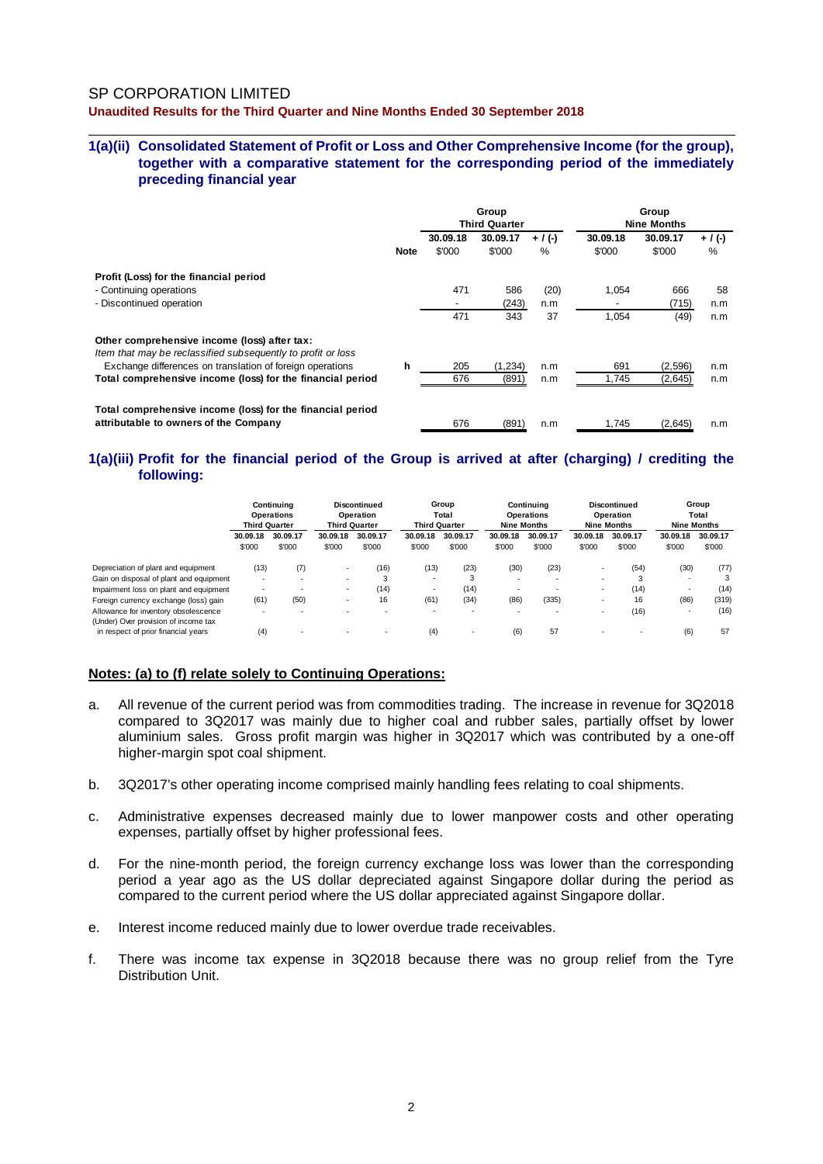#### **1(a)(ii) Consolidated Statement of Profit or Loss and Other Comprehensive Income (for the group), together with a comparative statement for the corresponding period of the immediately preceding financial year**

\_\_\_\_\_\_\_\_\_\_\_\_\_\_\_\_\_\_\_\_\_\_\_\_\_\_\_\_\_\_\_\_\_\_\_\_\_\_\_\_\_\_\_\_\_\_\_\_\_\_\_\_\_\_\_\_\_\_\_\_\_\_\_\_\_\_\_\_\_\_\_\_\_\_\_\_\_\_

|                                                                                                              |             | Group<br><b>Third Quarter</b> |                    |                | Group<br><b>Nine Months</b> |                    |                   |
|--------------------------------------------------------------------------------------------------------------|-------------|-------------------------------|--------------------|----------------|-----------------------------|--------------------|-------------------|
|                                                                                                              | <b>Note</b> | 30.09.18<br>\$'000            | 30.09.17<br>\$'000 | $+$ / (-)<br>% | 30.09.18<br>\$'000          | 30.09.17<br>\$'000 | $+ / (-)$<br>$\%$ |
| Profit (Loss) for the financial period                                                                       |             |                               |                    |                |                             |                    |                   |
| - Continuing operations                                                                                      |             | 471                           | 586                | (20)           | 1,054                       | 666                | 58                |
| - Discontinued operation                                                                                     |             |                               | (243)              | n.m            |                             | (715)              | n.m               |
|                                                                                                              |             | 471                           | 343                | 37             | 1,054                       | (49)               | n.m               |
| Other comprehensive income (loss) after tax:<br>Item that may be reclassified subsequently to profit or loss |             |                               |                    |                |                             |                    |                   |
| Exchange differences on translation of foreign operations                                                    | h           | 205                           | (1, 234)           | n.m            | 691                         | (2, 596)           | n.m               |
| Total comprehensive income (loss) for the financial period                                                   |             | 676                           | (891)              | n.m            | 1,745                       | (2,645)            | n.m               |
| Total comprehensive income (loss) for the financial period<br>attributable to owners of the Company          |             | 676                           | (891)              | n.m            | 1.745                       | (2.645)            | n.m               |

#### **1(a)(iii) Profit for the financial period of the Group is arrived at after (charging) / crediting the following:**

|                                                                              |                          | Continuina<br><b>Operations</b><br><b>Third Quarter</b> | <b>Discontinued</b><br>Operation<br><b>Third Quarter</b> |          | Group<br>Total<br><b>Third Quarter</b> |                          | Continuina<br><b>Operations</b><br><b>Nine Months</b> |                          | Discontinued<br>Operation<br><b>Nine Months</b> |          | Group<br>Total<br><b>Nine Months</b> |          |
|------------------------------------------------------------------------------|--------------------------|---------------------------------------------------------|----------------------------------------------------------|----------|----------------------------------------|--------------------------|-------------------------------------------------------|--------------------------|-------------------------------------------------|----------|--------------------------------------|----------|
|                                                                              | 30.09.18                 | 30.09.17                                                | 30.09.18                                                 | 30.09.17 | 30.09.18                               | 30.09.17                 | 30.09.18                                              | 30.09.17                 | 30.09.18                                        | 30.09.17 | 30.09.18                             | 30.09.17 |
|                                                                              | \$'000                   | \$'000                                                  | \$'000                                                   | \$'000   | \$'000                                 | \$'000                   | \$'000                                                | \$'000                   | \$'000                                          | \$'000   | \$'000                               | \$'000   |
| Depreciation of plant and equipment                                          | (13)                     | (7)                                                     |                                                          | (16)     | (13)                                   | (23)                     | (30)                                                  | (23)                     | $\overline{\phantom{a}}$                        | (54)     | (30)                                 | (77)     |
| Gain on disposal of plant and equipment                                      | $\overline{\phantom{a}}$ | ۰                                                       |                                                          | 3        |                                        | 3                        | $\sim$                                                | $\overline{\phantom{a}}$ | $\overline{\phantom{a}}$                        | 3        | $\overline{\phantom{a}}$             | 3        |
| Impairment loss on plant and equipment                                       | $\overline{\phantom{a}}$ | $\overline{\phantom{a}}$                                |                                                          | (14)     |                                        | (14)                     | $\sim$                                                |                          | $\sim$                                          | (14)     | $\overline{\phantom{a}}$             | (14)     |
| Foreign currency exchange (loss) gain                                        | (61)                     | (50)                                                    |                                                          | 16       | (61)                                   | (34)                     | (86)                                                  | (335)                    | $\overline{\phantom{a}}$                        | 16       | (86)                                 | (319)    |
| Allowance for inventory obsolescence<br>(Under) Over provision of income tax | $\overline{\phantom{a}}$ | $\overline{\phantom{a}}$                                |                                                          |          | $\overline{\phantom{a}}$               | $\overline{\phantom{a}}$ | $\sim$                                                | $\overline{\phantom{a}}$ | -                                               | (16)     | $\overline{\phantom{a}}$             | (16)     |
| in respect of prior financial years                                          | (4)                      | $\overline{\phantom{a}}$                                |                                                          |          | (4)                                    |                          | (6)                                                   | 57                       | $\sim$                                          |          | (6)                                  | 57       |

#### **Notes: (a) to (f) relate solely to Continuing Operations:**

- a. All revenue of the current period was from commodities trading. The increase in revenue for 3Q2018 compared to 3Q2017 was mainly due to higher coal and rubber sales, partially offset by lower aluminium sales. Gross profit margin was higher in 3Q2017 which was contributed by a one-off higher-margin spot coal shipment.
- b. 3Q2017's other operating income comprised mainly handling fees relating to coal shipments.
- c. Administrative expenses decreased mainly due to lower manpower costs and other operating expenses, partially offset by higher professional fees.
- d. For the nine-month period, the foreign currency exchange loss was lower than the corresponding period a year ago as the US dollar depreciated against Singapore dollar during the period as compared to the current period where the US dollar appreciated against Singapore dollar.
- e. Interest income reduced mainly due to lower overdue trade receivables.
- f. There was income tax expense in 3Q2018 because there was no group relief from the Tyre Distribution Unit.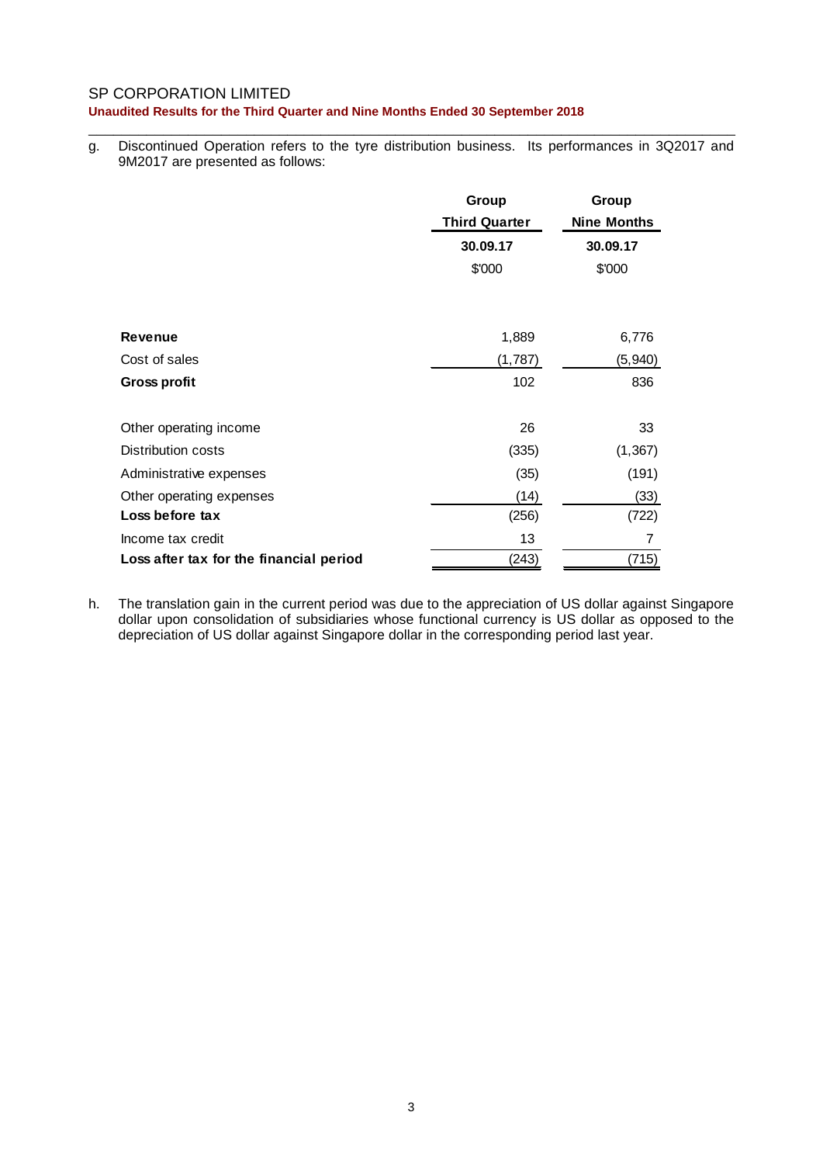\_\_\_\_\_\_\_\_\_\_\_\_\_\_\_\_\_\_\_\_\_\_\_\_\_\_\_\_\_\_\_\_\_\_\_\_\_\_\_\_\_\_\_\_\_\_\_\_\_\_\_\_\_\_\_\_\_\_\_\_\_\_\_\_\_\_\_\_\_\_\_\_\_\_\_\_\_\_ g. Discontinued Operation refers to the tyre distribution business. Its performances in 3Q2017 and 9M2017 are presented as follows:

|                                         | Group<br><b>Third Quarter</b><br>30.09.17 | Group<br><b>Nine Months</b><br>30.09.17 |
|-----------------------------------------|-------------------------------------------|-----------------------------------------|
|                                         | \$'000                                    | \$'000                                  |
|                                         |                                           |                                         |
| <b>Revenue</b>                          | 1,889                                     | 6,776                                   |
| Cost of sales                           | (1,787)                                   | (5, 940)                                |
| <b>Gross profit</b>                     | 102                                       | 836                                     |
| Other operating income                  | 26                                        | 33                                      |
| Distribution costs                      | (335)                                     | (1, 367)                                |
| Administrative expenses                 | (35)                                      | (191)                                   |
| Other operating expenses                | (14)                                      | (33)                                    |
| Loss before tax                         | (256)                                     | (722)                                   |
| Income tax credit                       | 13                                        | 7                                       |
| Loss after tax for the financial period | (243)                                     | (715)                                   |

h. The translation gain in the current period was due to the appreciation of US dollar against Singapore dollar upon consolidation of subsidiaries whose functional currency is US dollar as opposed to the depreciation of US dollar against Singapore dollar in the corresponding period last year.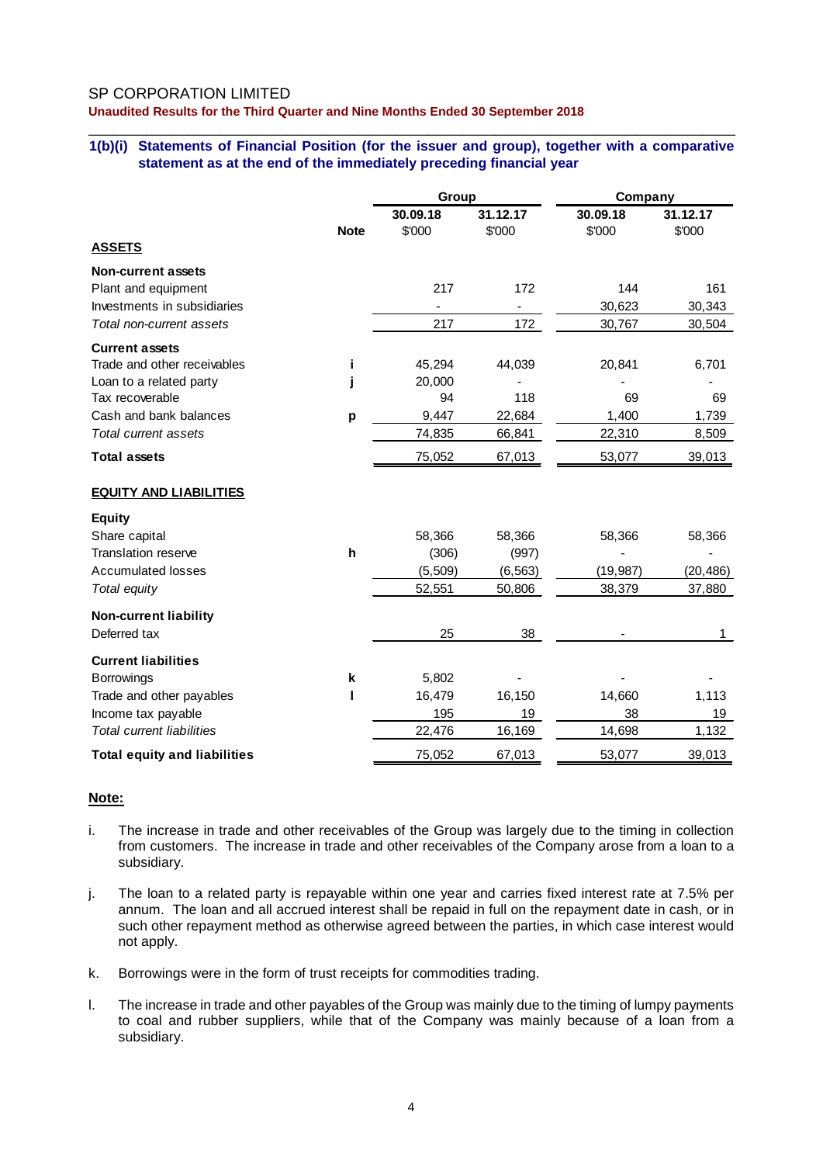# SP CORPORATION LIMITED

**Unaudited Results for the Third Quarter and Nine Months Ended 30 September 2018**

#### \_\_\_\_\_\_\_\_\_\_\_\_\_\_\_\_\_\_\_\_\_\_\_\_\_\_\_\_\_\_\_\_\_\_\_\_\_\_\_\_\_\_\_\_\_\_\_\_\_\_\_\_\_\_\_\_\_\_\_\_\_\_\_\_\_\_\_\_\_\_\_\_\_\_\_\_\_\_ **1(b)(i) Statements of Financial Position (for the issuer and group), together with a comparative statement as at the end of the immediately preceding financial year**

|                                     |              | Group          |                          | Company   |           |  |
|-------------------------------------|--------------|----------------|--------------------------|-----------|-----------|--|
|                                     |              | 30.09.18       | 31.12.17                 | 30.09.18  | 31.12.17  |  |
|                                     | <b>Note</b>  | \$'000         | \$'000                   | \$'000    | \$'000    |  |
| <b>ASSETS</b>                       |              |                |                          |           |           |  |
| <b>Non-current assets</b>           |              |                |                          |           |           |  |
| Plant and equipment                 |              | 217            | 172                      | 144       | 161       |  |
| Investments in subsidiaries         |              | $\blacksquare$ | $\overline{\phantom{a}}$ | 30,623    | 30,343    |  |
| Total non-current assets            |              | 217            | 172                      | 30,767    | 30,504    |  |
| <b>Current assets</b>               |              |                |                          |           |           |  |
| Trade and other receivables         | j.           | 45,294         | 44,039                   | 20,841    | 6,701     |  |
| Loan to a related party             | j            | 20,000         |                          |           |           |  |
| Tax recoverable                     |              | 94             | 118                      | 69        | 69        |  |
| Cash and bank balances              | p            | 9,447          | 22,684                   | 1,400     | 1,739     |  |
| Total current assets                |              | 74,835         | 66,841                   | 22,310    | 8,509     |  |
| <b>Total assets</b>                 |              | 75,052         | 67,013                   | 53,077    | 39,013    |  |
| <b>EQUITY AND LIABILITIES</b>       |              |                |                          |           |           |  |
| <b>Equity</b>                       |              |                |                          |           |           |  |
| Share capital                       |              | 58,366         | 58,366                   | 58,366    | 58,366    |  |
| <b>Translation reserve</b>          | $\mathsf{h}$ | (306)          | (997)                    |           |           |  |
| <b>Accumulated losses</b>           |              | (5, 509)       | (6, 563)                 | (19, 987) | (20, 486) |  |
| Total equity                        |              | 52,551         | 50,806                   | 38,379    | 37,880    |  |
| <b>Non-current liability</b>        |              |                |                          |           |           |  |
| Deferred tax                        |              | 25             | 38                       |           | 1         |  |
| <b>Current liabilities</b>          |              |                |                          |           |           |  |
| <b>Borrowings</b>                   | k            | 5,802          |                          |           |           |  |
| Trade and other payables            | ı            | 16,479         | 16,150                   | 14,660    | 1,113     |  |
| Income tax payable                  |              | 195            | 19                       | 38        | 19        |  |
| <b>Total current liabilities</b>    |              | 22,476         | 16,169                   | 14,698    | 1,132     |  |
| <b>Total equity and liabilities</b> |              | 75,052         | 67,013                   | 53,077    | 39,013    |  |

### **Note:**

- i. The increase in trade and other receivables of the Group was largely due to the timing in collection from customers. The increase in trade and other receivables of the Company arose from a loan to a subsidiary.
- j. The loan to a related party is repayable within one year and carries fixed interest rate at 7.5% per annum. The loan and all accrued interest shall be repaid in full on the repayment date in cash, or in such other repayment method as otherwise agreed between the parties, in which case interest would not apply.
- k. Borrowings were in the form of trust receipts for commodities trading.
- l. The increase in trade and other payables of the Group was mainly due to the timing of lumpy payments to coal and rubber suppliers, while that of the Company was mainly because of a loan from a subsidiary.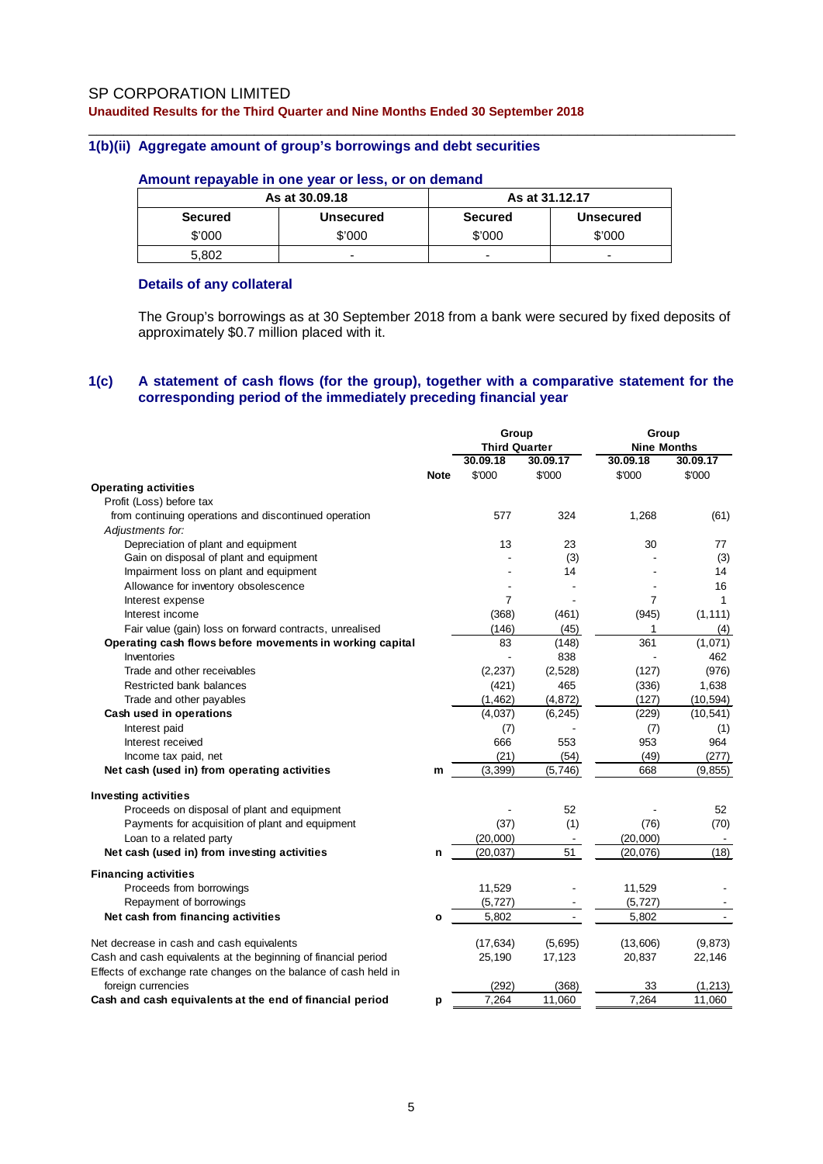#### \_\_\_\_\_\_\_\_\_\_\_\_\_\_\_\_\_\_\_\_\_\_\_\_\_\_\_\_\_\_\_\_\_\_\_\_\_\_\_\_\_\_\_\_\_\_\_\_\_\_\_\_\_\_\_\_\_\_\_\_\_\_\_\_\_\_\_\_\_\_\_\_\_\_\_\_\_\_ **1(b)(ii) Aggregate amount of group's borrowings and debt securities**

### **Amount repayable in one year or less, or on demand**

|                | As at 30,09.18   | As at 31.12.17 |                  |  |  |
|----------------|------------------|----------------|------------------|--|--|
| <b>Secured</b> | <b>Unsecured</b> | <b>Secured</b> | <b>Unsecured</b> |  |  |
| \$'000         | \$'000           | \$'000         | \$'000           |  |  |
| 5.802          | -                | -              | -                |  |  |

### **Details of any collateral**

The Group's borrowings as at 30 September 2018 from a bank were secured by fixed deposits of approximately \$0.7 million placed with it.

#### **1(c) A statement of cash flows (for the group), together with a comparative statement for the corresponding period of the immediately preceding financial year**

| <b>Third Quarter</b><br><b>Nine Months</b><br>30.09.18<br>30.09.17<br>30.09.18<br>30.09.17<br>\$'000<br>\$'000<br>\$'000<br>\$'000<br><b>Note</b><br><b>Operating activities</b><br>Profit (Loss) before tax<br>324<br>from continuing operations and discontinued operation<br>577<br>1,268<br>(61)<br>Adjustments for:<br>Depreciation of plant and equipment<br>13<br>23<br>30<br>77<br>Gain on disposal of plant and equipment<br>(3)<br>(3)<br>Impairment loss on plant and equipment<br>14<br>14<br>Allowance for inventory obsolescence<br>16<br>7<br>7<br>Interest expense<br>1<br>Interest income<br>(368)<br>(461)<br>(945)<br>(1, 111)<br>Fair value (gain) loss on forward contracts, unrealised<br>(146)<br>(45)<br>1<br>(4)<br>83<br>(148)<br>361<br>(1,071)<br>Operating cash flows before movements in working capital<br>Inventories<br>838<br>462<br>Trade and other receivables<br>(2,528)<br>(976)<br>(2, 237)<br>(127)<br>Restricted bank balances<br>465<br>1,638<br>(421)<br>(336)<br>(1, 462)<br>(4, 872)<br>(127)<br>(10, 594)<br>Trade and other payables<br>Cash used in operations<br>(4,037)<br>(6, 245)<br>(229)<br>(10, 541)<br>Interest paid<br>(7)<br>(7)<br>(1)<br>666<br>553<br>953<br>964<br>Interest received<br>Income tax paid, net<br>(21)<br>(54)<br>(49)<br>(277)<br>Net cash (used in) from operating activities<br>(3, 399)<br>(5,746)<br>668<br>(9, 855)<br>m<br>Proceeds on disposal of plant and equipment<br>52<br>52<br>Payments for acquisition of plant and equipment<br>(37)<br>(1)<br>(76)<br>(70)<br>Loan to a related party<br>(20,000)<br>(20,000)<br>Net cash (used in) from investing activities<br>51<br>(18)<br>(20, 037)<br>(20, 076)<br>n<br><b>Financing activities</b><br>11,529<br>Proceeds from borrowings<br>11,529<br>Repayment of borrowings<br>(5, 727)<br>(5, 727)<br>5,802<br>Net cash from financing activities<br>5,802<br>$\mathbf{o}$<br>Net decrease in cash and cash equivalents<br>(17, 634)<br>(5,695)<br>(13,606)<br>(9, 873)<br>Cash and cash equivalents at the beginning of financial period<br>25,190<br>17,123<br>20,837<br>22,146<br>Effects of exchange rate changes on the balance of cash held in<br>foreign currencies<br>(292)<br>(368)<br>33<br>(1, 213)<br>7,264<br>11,060<br>7,264<br>Cash and cash equivalents at the end of financial period<br>11,060<br>p |                             | Group | Group |  |  |
|--------------------------------------------------------------------------------------------------------------------------------------------------------------------------------------------------------------------------------------------------------------------------------------------------------------------------------------------------------------------------------------------------------------------------------------------------------------------------------------------------------------------------------------------------------------------------------------------------------------------------------------------------------------------------------------------------------------------------------------------------------------------------------------------------------------------------------------------------------------------------------------------------------------------------------------------------------------------------------------------------------------------------------------------------------------------------------------------------------------------------------------------------------------------------------------------------------------------------------------------------------------------------------------------------------------------------------------------------------------------------------------------------------------------------------------------------------------------------------------------------------------------------------------------------------------------------------------------------------------------------------------------------------------------------------------------------------------------------------------------------------------------------------------------------------------------------------------------------------------------------------------------------------------------------------------------------------------------------------------------------------------------------------------------------------------------------------------------------------------------------------------------------------------------------------------------------------------------------------------------------------------------------------------------------------------------------------------------------------------|-----------------------------|-------|-------|--|--|
|                                                                                                                                                                                                                                                                                                                                                                                                                                                                                                                                                                                                                                                                                                                                                                                                                                                                                                                                                                                                                                                                                                                                                                                                                                                                                                                                                                                                                                                                                                                                                                                                                                                                                                                                                                                                                                                                                                                                                                                                                                                                                                                                                                                                                                                                                                                                                              |                             |       |       |  |  |
|                                                                                                                                                                                                                                                                                                                                                                                                                                                                                                                                                                                                                                                                                                                                                                                                                                                                                                                                                                                                                                                                                                                                                                                                                                                                                                                                                                                                                                                                                                                                                                                                                                                                                                                                                                                                                                                                                                                                                                                                                                                                                                                                                                                                                                                                                                                                                              |                             |       |       |  |  |
|                                                                                                                                                                                                                                                                                                                                                                                                                                                                                                                                                                                                                                                                                                                                                                                                                                                                                                                                                                                                                                                                                                                                                                                                                                                                                                                                                                                                                                                                                                                                                                                                                                                                                                                                                                                                                                                                                                                                                                                                                                                                                                                                                                                                                                                                                                                                                              |                             |       |       |  |  |
|                                                                                                                                                                                                                                                                                                                                                                                                                                                                                                                                                                                                                                                                                                                                                                                                                                                                                                                                                                                                                                                                                                                                                                                                                                                                                                                                                                                                                                                                                                                                                                                                                                                                                                                                                                                                                                                                                                                                                                                                                                                                                                                                                                                                                                                                                                                                                              |                             |       |       |  |  |
|                                                                                                                                                                                                                                                                                                                                                                                                                                                                                                                                                                                                                                                                                                                                                                                                                                                                                                                                                                                                                                                                                                                                                                                                                                                                                                                                                                                                                                                                                                                                                                                                                                                                                                                                                                                                                                                                                                                                                                                                                                                                                                                                                                                                                                                                                                                                                              |                             |       |       |  |  |
|                                                                                                                                                                                                                                                                                                                                                                                                                                                                                                                                                                                                                                                                                                                                                                                                                                                                                                                                                                                                                                                                                                                                                                                                                                                                                                                                                                                                                                                                                                                                                                                                                                                                                                                                                                                                                                                                                                                                                                                                                                                                                                                                                                                                                                                                                                                                                              |                             |       |       |  |  |
|                                                                                                                                                                                                                                                                                                                                                                                                                                                                                                                                                                                                                                                                                                                                                                                                                                                                                                                                                                                                                                                                                                                                                                                                                                                                                                                                                                                                                                                                                                                                                                                                                                                                                                                                                                                                                                                                                                                                                                                                                                                                                                                                                                                                                                                                                                                                                              |                             |       |       |  |  |
|                                                                                                                                                                                                                                                                                                                                                                                                                                                                                                                                                                                                                                                                                                                                                                                                                                                                                                                                                                                                                                                                                                                                                                                                                                                                                                                                                                                                                                                                                                                                                                                                                                                                                                                                                                                                                                                                                                                                                                                                                                                                                                                                                                                                                                                                                                                                                              |                             |       |       |  |  |
|                                                                                                                                                                                                                                                                                                                                                                                                                                                                                                                                                                                                                                                                                                                                                                                                                                                                                                                                                                                                                                                                                                                                                                                                                                                                                                                                                                                                                                                                                                                                                                                                                                                                                                                                                                                                                                                                                                                                                                                                                                                                                                                                                                                                                                                                                                                                                              |                             |       |       |  |  |
|                                                                                                                                                                                                                                                                                                                                                                                                                                                                                                                                                                                                                                                                                                                                                                                                                                                                                                                                                                                                                                                                                                                                                                                                                                                                                                                                                                                                                                                                                                                                                                                                                                                                                                                                                                                                                                                                                                                                                                                                                                                                                                                                                                                                                                                                                                                                                              |                             |       |       |  |  |
|                                                                                                                                                                                                                                                                                                                                                                                                                                                                                                                                                                                                                                                                                                                                                                                                                                                                                                                                                                                                                                                                                                                                                                                                                                                                                                                                                                                                                                                                                                                                                                                                                                                                                                                                                                                                                                                                                                                                                                                                                                                                                                                                                                                                                                                                                                                                                              |                             |       |       |  |  |
|                                                                                                                                                                                                                                                                                                                                                                                                                                                                                                                                                                                                                                                                                                                                                                                                                                                                                                                                                                                                                                                                                                                                                                                                                                                                                                                                                                                                                                                                                                                                                                                                                                                                                                                                                                                                                                                                                                                                                                                                                                                                                                                                                                                                                                                                                                                                                              |                             |       |       |  |  |
|                                                                                                                                                                                                                                                                                                                                                                                                                                                                                                                                                                                                                                                                                                                                                                                                                                                                                                                                                                                                                                                                                                                                                                                                                                                                                                                                                                                                                                                                                                                                                                                                                                                                                                                                                                                                                                                                                                                                                                                                                                                                                                                                                                                                                                                                                                                                                              |                             |       |       |  |  |
|                                                                                                                                                                                                                                                                                                                                                                                                                                                                                                                                                                                                                                                                                                                                                                                                                                                                                                                                                                                                                                                                                                                                                                                                                                                                                                                                                                                                                                                                                                                                                                                                                                                                                                                                                                                                                                                                                                                                                                                                                                                                                                                                                                                                                                                                                                                                                              |                             |       |       |  |  |
|                                                                                                                                                                                                                                                                                                                                                                                                                                                                                                                                                                                                                                                                                                                                                                                                                                                                                                                                                                                                                                                                                                                                                                                                                                                                                                                                                                                                                                                                                                                                                                                                                                                                                                                                                                                                                                                                                                                                                                                                                                                                                                                                                                                                                                                                                                                                                              |                             |       |       |  |  |
|                                                                                                                                                                                                                                                                                                                                                                                                                                                                                                                                                                                                                                                                                                                                                                                                                                                                                                                                                                                                                                                                                                                                                                                                                                                                                                                                                                                                                                                                                                                                                                                                                                                                                                                                                                                                                                                                                                                                                                                                                                                                                                                                                                                                                                                                                                                                                              |                             |       |       |  |  |
|                                                                                                                                                                                                                                                                                                                                                                                                                                                                                                                                                                                                                                                                                                                                                                                                                                                                                                                                                                                                                                                                                                                                                                                                                                                                                                                                                                                                                                                                                                                                                                                                                                                                                                                                                                                                                                                                                                                                                                                                                                                                                                                                                                                                                                                                                                                                                              |                             |       |       |  |  |
|                                                                                                                                                                                                                                                                                                                                                                                                                                                                                                                                                                                                                                                                                                                                                                                                                                                                                                                                                                                                                                                                                                                                                                                                                                                                                                                                                                                                                                                                                                                                                                                                                                                                                                                                                                                                                                                                                                                                                                                                                                                                                                                                                                                                                                                                                                                                                              |                             |       |       |  |  |
|                                                                                                                                                                                                                                                                                                                                                                                                                                                                                                                                                                                                                                                                                                                                                                                                                                                                                                                                                                                                                                                                                                                                                                                                                                                                                                                                                                                                                                                                                                                                                                                                                                                                                                                                                                                                                                                                                                                                                                                                                                                                                                                                                                                                                                                                                                                                                              |                             |       |       |  |  |
|                                                                                                                                                                                                                                                                                                                                                                                                                                                                                                                                                                                                                                                                                                                                                                                                                                                                                                                                                                                                                                                                                                                                                                                                                                                                                                                                                                                                                                                                                                                                                                                                                                                                                                                                                                                                                                                                                                                                                                                                                                                                                                                                                                                                                                                                                                                                                              |                             |       |       |  |  |
|                                                                                                                                                                                                                                                                                                                                                                                                                                                                                                                                                                                                                                                                                                                                                                                                                                                                                                                                                                                                                                                                                                                                                                                                                                                                                                                                                                                                                                                                                                                                                                                                                                                                                                                                                                                                                                                                                                                                                                                                                                                                                                                                                                                                                                                                                                                                                              |                             |       |       |  |  |
|                                                                                                                                                                                                                                                                                                                                                                                                                                                                                                                                                                                                                                                                                                                                                                                                                                                                                                                                                                                                                                                                                                                                                                                                                                                                                                                                                                                                                                                                                                                                                                                                                                                                                                                                                                                                                                                                                                                                                                                                                                                                                                                                                                                                                                                                                                                                                              |                             |       |       |  |  |
|                                                                                                                                                                                                                                                                                                                                                                                                                                                                                                                                                                                                                                                                                                                                                                                                                                                                                                                                                                                                                                                                                                                                                                                                                                                                                                                                                                                                                                                                                                                                                                                                                                                                                                                                                                                                                                                                                                                                                                                                                                                                                                                                                                                                                                                                                                                                                              |                             |       |       |  |  |
|                                                                                                                                                                                                                                                                                                                                                                                                                                                                                                                                                                                                                                                                                                                                                                                                                                                                                                                                                                                                                                                                                                                                                                                                                                                                                                                                                                                                                                                                                                                                                                                                                                                                                                                                                                                                                                                                                                                                                                                                                                                                                                                                                                                                                                                                                                                                                              |                             |       |       |  |  |
|                                                                                                                                                                                                                                                                                                                                                                                                                                                                                                                                                                                                                                                                                                                                                                                                                                                                                                                                                                                                                                                                                                                                                                                                                                                                                                                                                                                                                                                                                                                                                                                                                                                                                                                                                                                                                                                                                                                                                                                                                                                                                                                                                                                                                                                                                                                                                              | <b>Investing activities</b> |       |       |  |  |
|                                                                                                                                                                                                                                                                                                                                                                                                                                                                                                                                                                                                                                                                                                                                                                                                                                                                                                                                                                                                                                                                                                                                                                                                                                                                                                                                                                                                                                                                                                                                                                                                                                                                                                                                                                                                                                                                                                                                                                                                                                                                                                                                                                                                                                                                                                                                                              |                             |       |       |  |  |
|                                                                                                                                                                                                                                                                                                                                                                                                                                                                                                                                                                                                                                                                                                                                                                                                                                                                                                                                                                                                                                                                                                                                                                                                                                                                                                                                                                                                                                                                                                                                                                                                                                                                                                                                                                                                                                                                                                                                                                                                                                                                                                                                                                                                                                                                                                                                                              |                             |       |       |  |  |
|                                                                                                                                                                                                                                                                                                                                                                                                                                                                                                                                                                                                                                                                                                                                                                                                                                                                                                                                                                                                                                                                                                                                                                                                                                                                                                                                                                                                                                                                                                                                                                                                                                                                                                                                                                                                                                                                                                                                                                                                                                                                                                                                                                                                                                                                                                                                                              |                             |       |       |  |  |
|                                                                                                                                                                                                                                                                                                                                                                                                                                                                                                                                                                                                                                                                                                                                                                                                                                                                                                                                                                                                                                                                                                                                                                                                                                                                                                                                                                                                                                                                                                                                                                                                                                                                                                                                                                                                                                                                                                                                                                                                                                                                                                                                                                                                                                                                                                                                                              |                             |       |       |  |  |
|                                                                                                                                                                                                                                                                                                                                                                                                                                                                                                                                                                                                                                                                                                                                                                                                                                                                                                                                                                                                                                                                                                                                                                                                                                                                                                                                                                                                                                                                                                                                                                                                                                                                                                                                                                                                                                                                                                                                                                                                                                                                                                                                                                                                                                                                                                                                                              |                             |       |       |  |  |
|                                                                                                                                                                                                                                                                                                                                                                                                                                                                                                                                                                                                                                                                                                                                                                                                                                                                                                                                                                                                                                                                                                                                                                                                                                                                                                                                                                                                                                                                                                                                                                                                                                                                                                                                                                                                                                                                                                                                                                                                                                                                                                                                                                                                                                                                                                                                                              |                             |       |       |  |  |
|                                                                                                                                                                                                                                                                                                                                                                                                                                                                                                                                                                                                                                                                                                                                                                                                                                                                                                                                                                                                                                                                                                                                                                                                                                                                                                                                                                                                                                                                                                                                                                                                                                                                                                                                                                                                                                                                                                                                                                                                                                                                                                                                                                                                                                                                                                                                                              |                             |       |       |  |  |
|                                                                                                                                                                                                                                                                                                                                                                                                                                                                                                                                                                                                                                                                                                                                                                                                                                                                                                                                                                                                                                                                                                                                                                                                                                                                                                                                                                                                                                                                                                                                                                                                                                                                                                                                                                                                                                                                                                                                                                                                                                                                                                                                                                                                                                                                                                                                                              |                             |       |       |  |  |
|                                                                                                                                                                                                                                                                                                                                                                                                                                                                                                                                                                                                                                                                                                                                                                                                                                                                                                                                                                                                                                                                                                                                                                                                                                                                                                                                                                                                                                                                                                                                                                                                                                                                                                                                                                                                                                                                                                                                                                                                                                                                                                                                                                                                                                                                                                                                                              |                             |       |       |  |  |
|                                                                                                                                                                                                                                                                                                                                                                                                                                                                                                                                                                                                                                                                                                                                                                                                                                                                                                                                                                                                                                                                                                                                                                                                                                                                                                                                                                                                                                                                                                                                                                                                                                                                                                                                                                                                                                                                                                                                                                                                                                                                                                                                                                                                                                                                                                                                                              |                             |       |       |  |  |
|                                                                                                                                                                                                                                                                                                                                                                                                                                                                                                                                                                                                                                                                                                                                                                                                                                                                                                                                                                                                                                                                                                                                                                                                                                                                                                                                                                                                                                                                                                                                                                                                                                                                                                                                                                                                                                                                                                                                                                                                                                                                                                                                                                                                                                                                                                                                                              |                             |       |       |  |  |
|                                                                                                                                                                                                                                                                                                                                                                                                                                                                                                                                                                                                                                                                                                                                                                                                                                                                                                                                                                                                                                                                                                                                                                                                                                                                                                                                                                                                                                                                                                                                                                                                                                                                                                                                                                                                                                                                                                                                                                                                                                                                                                                                                                                                                                                                                                                                                              |                             |       |       |  |  |
|                                                                                                                                                                                                                                                                                                                                                                                                                                                                                                                                                                                                                                                                                                                                                                                                                                                                                                                                                                                                                                                                                                                                                                                                                                                                                                                                                                                                                                                                                                                                                                                                                                                                                                                                                                                                                                                                                                                                                                                                                                                                                                                                                                                                                                                                                                                                                              |                             |       |       |  |  |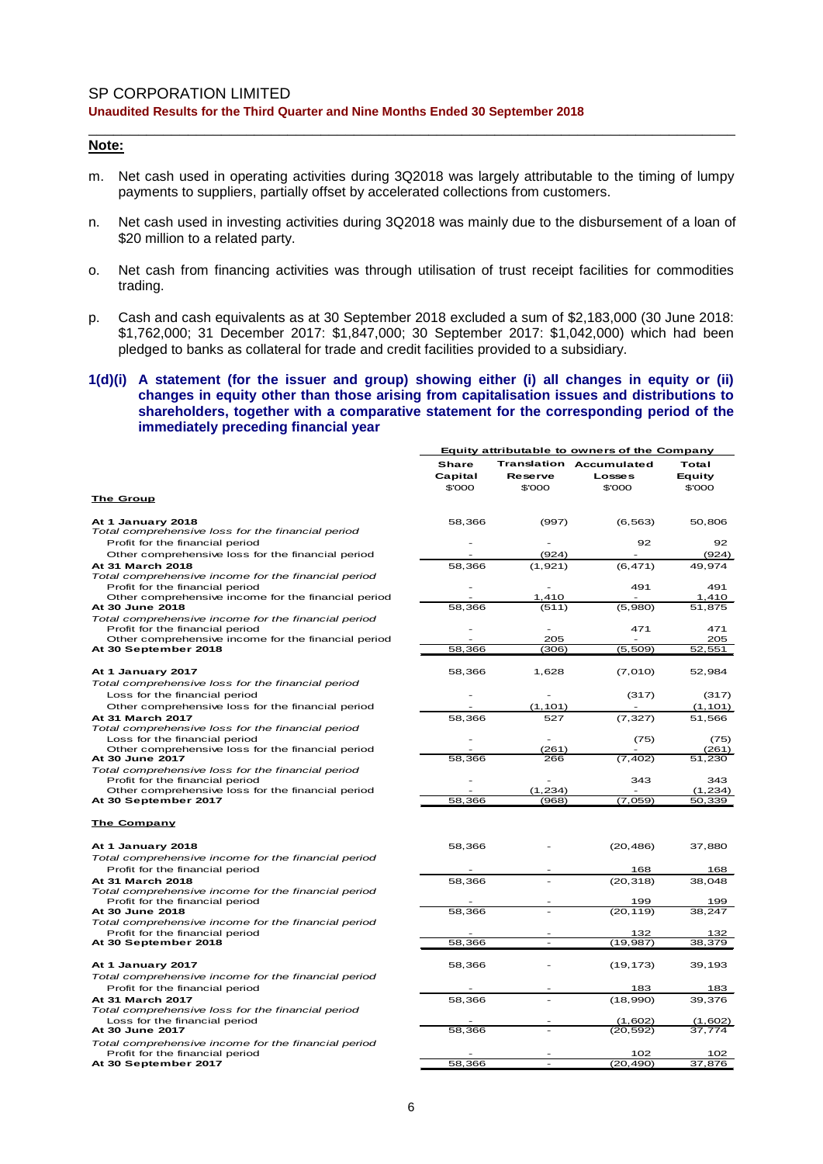### **Note:**

m. Net cash used in operating activities during 3Q2018 was largely attributable to the timing of lumpy payments to suppliers, partially offset by accelerated collections from customers.

\_\_\_\_\_\_\_\_\_\_\_\_\_\_\_\_\_\_\_\_\_\_\_\_\_\_\_\_\_\_\_\_\_\_\_\_\_\_\_\_\_\_\_\_\_\_\_\_\_\_\_\_\_\_\_\_\_\_\_\_\_\_\_\_\_\_\_\_\_\_\_\_\_\_\_\_\_\_

- n. Net cash used in investing activities during 3Q2018 was mainly due to the disbursement of a loan of \$20 million to a related party.
- o. Net cash from financing activities was through utilisation of trust receipt facilities for commodities trading.
- p. Cash and cash equivalents as at 30 September 2018 excluded a sum of \$2,183,000 (30 June 2018: \$1,762,000; 31 December 2017: \$1,847,000; 30 September 2017: \$1,042,000) which had been pledged to banks as collateral for trade and credit facilities provided to a subsidiary.
- **1(d)(i) A statement (for the issuer and group) showing either (i) all changes in equity or (ii) changes in equity other than those arising from capitalisation issues and distributions to shareholders, together with a comparative statement for the corresponding period of the immediately preceding financial year**

|                                                                                        | <b>Equity attributable to owners of the Company</b> |                                  |                                               |                                  |  |
|----------------------------------------------------------------------------------------|-----------------------------------------------------|----------------------------------|-----------------------------------------------|----------------------------------|--|
|                                                                                        | Share<br>Capital<br>\$'000                          | Translation<br>Reserve<br>\$'000 | <b>Accumulated</b><br><b>Losses</b><br>\$'000 | Total<br><b>Equity</b><br>\$'000 |  |
| <u>The Group</u>                                                                       |                                                     |                                  |                                               |                                  |  |
| At 1 January 2018<br>Total comprehensive loss for the financial period                 | 58,366                                              | (997)                            | (6, 563)                                      | 50,806                           |  |
| Profit for the financial period                                                        |                                                     |                                  | 92                                            | 92                               |  |
| Other comprehensive loss for the financial period                                      |                                                     | (924)                            |                                               | (924)                            |  |
| At 31 March 2018                                                                       | 58,366                                              | (1,921)                          | (6, 471)                                      | 49,974                           |  |
| Total comprehensive income for the financial period<br>Profit for the financial period |                                                     |                                  | 491                                           | 491                              |  |
| Other comprehensive income for the financial period                                    |                                                     | 1,410                            |                                               | 1,410                            |  |
| At 30 June 2018                                                                        | 58,366                                              | (511)                            | (5,980)                                       | 51,875                           |  |
| Total comprehensive income for the financial period<br>Profit for the financial period |                                                     | ٠                                | 471                                           | 471                              |  |
| Other comprehensive income for the financial period                                    |                                                     | 205                              |                                               | 205                              |  |
| At 30 September 2018                                                                   | 58,366                                              | (306)                            | (5, 509)                                      | 52,551                           |  |
| At 1 January 2017                                                                      | 58,366                                              | 1,628                            | (7,010)                                       | 52,984                           |  |
| Total comprehensive loss for the financial period                                      |                                                     |                                  |                                               |                                  |  |
| Loss for the financial period                                                          |                                                     |                                  | (317)                                         | (317)                            |  |
| Other comprehensive loss for the financial period                                      |                                                     | (1, 101)                         |                                               | (1, 101)                         |  |
| At 31 March 2017                                                                       | 58,366                                              | 527                              | (7, 327)                                      | 51,566                           |  |
| Total comprehensive loss for the financial period                                      |                                                     |                                  |                                               |                                  |  |
| Loss for the financial period                                                          |                                                     |                                  | (75)                                          | (75)                             |  |
| Other comprehensive loss for the financial period<br>At 30 June 2017                   | 58,366                                              | (261)<br>266                     | (7, 402)                                      | (261)<br>51,230                  |  |
| Total comprehensive loss for the financial period                                      |                                                     |                                  |                                               |                                  |  |
| Profit for the financial period                                                        |                                                     |                                  | 343                                           | 343                              |  |
| Other comprehensive loss for the financial period                                      |                                                     | (1, 234)                         |                                               | (1, 234)                         |  |
| At 30 September 2017                                                                   | 58,366                                              | (968)                            | (7,059)                                       | 50,339                           |  |
| <b>The Company</b>                                                                     |                                                     |                                  |                                               |                                  |  |
| At 1 January 2018                                                                      | 58,366                                              |                                  | (20, 486)                                     | 37,880                           |  |
| Total comprehensive income for the financial period                                    |                                                     |                                  |                                               |                                  |  |
| Profit for the financial period                                                        |                                                     |                                  | 168                                           | 168                              |  |
| At 31 March 2018                                                                       | 58,366                                              |                                  | (20, 318)                                     | 38,048                           |  |
| Total comprehensive income for the financial period                                    |                                                     |                                  |                                               |                                  |  |
| Profit for the financial period                                                        |                                                     |                                  | 199                                           | 199                              |  |
| At 30 June 2018                                                                        | 58,366                                              |                                  | (20, 119)                                     | 38,247                           |  |
| Total comprehensive income for the financial period                                    |                                                     |                                  |                                               |                                  |  |
| Profit for the financial period                                                        |                                                     |                                  | 132                                           | 132                              |  |
| At 30 September 2018                                                                   | 58,366                                              |                                  | (19, 987)                                     | 38,379                           |  |
| At 1 January 2017                                                                      | 58,366                                              |                                  | (19, 173)                                     | 39,193                           |  |
| Total comprehensive income for the financial period                                    |                                                     |                                  |                                               |                                  |  |
| Profit for the financial period                                                        |                                                     |                                  | 183                                           | 183                              |  |
| At 31 March 2017                                                                       | 58,366                                              |                                  | (18,990)                                      | 39,376                           |  |
| Total comprehensive loss for the financial period                                      |                                                     |                                  |                                               |                                  |  |
| Loss for the financial period                                                          |                                                     |                                  | (1,602)                                       | (1,602)                          |  |
| At 30 June 2017                                                                        | 58,366                                              |                                  | (20, 592)                                     | 37.774                           |  |
| Total comprehensive income for the financial period                                    |                                                     |                                  |                                               |                                  |  |
| Profit for the financial period<br>At 30 September 2017                                | 58,366                                              |                                  | 102<br>(20, 490)                              | 102<br>37,876                    |  |
|                                                                                        |                                                     |                                  |                                               |                                  |  |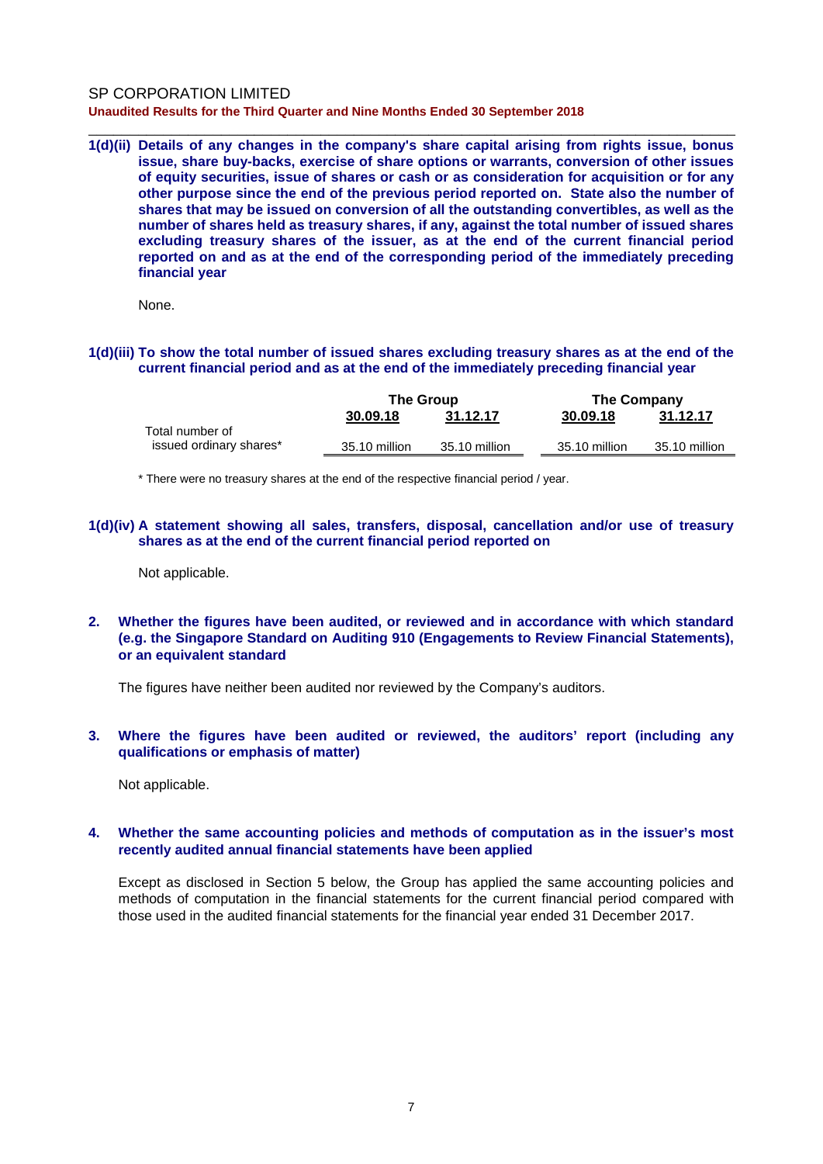\_\_\_\_\_\_\_\_\_\_\_\_\_\_\_\_\_\_\_\_\_\_\_\_\_\_\_\_\_\_\_\_\_\_\_\_\_\_\_\_\_\_\_\_\_\_\_\_\_\_\_\_\_\_\_\_\_\_\_\_\_\_\_\_\_\_\_\_\_\_\_\_\_\_\_\_\_\_ **1(d)(ii) Details of any changes in the company's share capital arising from rights issue, bonus issue, share buy-backs, exercise of share options or warrants, conversion of other issues of equity securities, issue of shares or cash or as consideration for acquisition or for any other purpose since the end of the previous period reported on. State also the number of shares that may be issued on conversion of all the outstanding convertibles, as well as the number of shares held as treasury shares, if any, against the total number of issued shares excluding treasury shares of the issuer, as at the end of the current financial period reported on and as at the end of the corresponding period of the immediately preceding financial year**

None.

### **1(d)(iii) To show the total number of issued shares excluding treasury shares as at the end of the current financial period and as at the end of the immediately preceding financial year**

|                         | <b>The Group</b> |               | The Company   |               |
|-------------------------|------------------|---------------|---------------|---------------|
|                         | 30.09.18         | 31.12.17      | 30.09.18      | 31.12.17      |
| Total number of         |                  |               |               |               |
| issued ordinary shares* | 35.10 million    | 35.10 million | 35.10 million | 35.10 million |
|                         |                  |               |               |               |

\* There were no treasury shares at the end of the respective financial period / year.

### **1(d)(iv) A statement showing all sales, transfers, disposal, cancellation and/or use of treasury shares as at the end of the current financial period reported on**

Not applicable.

### **2. Whether the figures have been audited, or reviewed and in accordance with which standard (e.g. the Singapore Standard on Auditing 910 (Engagements to Review Financial Statements), or an equivalent standard**

The figures have neither been audited nor reviewed by the Company's auditors.

### **3. Where the figures have been audited or reviewed, the auditors' report (including any qualifications or emphasis of matter)**

Not applicable.

### **4. Whether the same accounting policies and methods of computation as in the issuer's most recently audited annual financial statements have been applied**

Except as disclosed in Section 5 below, the Group has applied the same accounting policies and methods of computation in the financial statements for the current financial period compared with those used in the audited financial statements for the financial year ended 31 December 2017.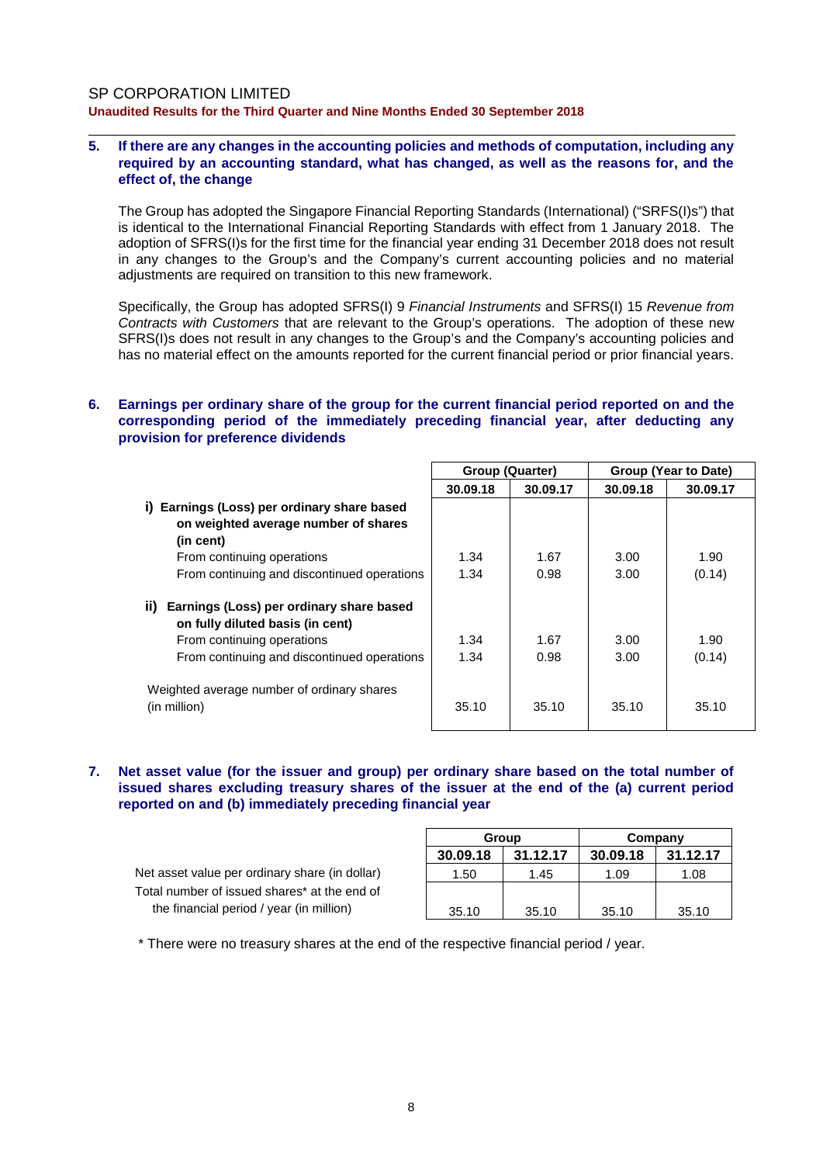### **5. If there are any changes in the accounting policies and methods of computation, including any required by an accounting standard, what has changed, as well as the reasons for, and the effect of, the change**

\_\_\_\_\_\_\_\_\_\_\_\_\_\_\_\_\_\_\_\_\_\_\_\_\_\_\_\_\_\_\_\_\_\_\_\_\_\_\_\_\_\_\_\_\_\_\_\_\_\_\_\_\_\_\_\_\_\_\_\_\_\_\_\_\_\_\_\_\_\_\_\_\_\_\_\_\_\_

The Group has adopted the Singapore Financial Reporting Standards (International) ("SRFS(I)s") that is identical to the International Financial Reporting Standards with effect from 1 January 2018. The adoption of SFRS(I)s for the first time for the financial year ending 31 December 2018 does not result in any changes to the Group's and the Company's current accounting policies and no material adjustments are required on transition to this new framework.

Specifically, the Group has adopted SFRS(I) 9 *Financial Instruments* and SFRS(I) 15 *Revenue from Contracts with Customers* that are relevant to the Group's operations. The adoption of these new SFRS(I)s does not result in any changes to the Group's and the Company's accounting policies and has no material effect on the amounts reported for the current financial period or prior financial years.

### **6. Earnings per ordinary share of the group for the current financial period reported on and the corresponding period of the immediately preceding financial year, after deducting any provision for preference dividends**

|                                                                                     | <b>Group (Quarter)</b> |          | Group (Year to Date) |          |
|-------------------------------------------------------------------------------------|------------------------|----------|----------------------|----------|
|                                                                                     | 30.09.18               | 30.09.17 | 30.09.18             | 30.09.17 |
| Earnings (Loss) per ordinary share based<br>i).                                     |                        |          |                      |          |
| on weighted average number of shares                                                |                        |          |                      |          |
| (in cent)                                                                           |                        |          |                      |          |
| From continuing operations                                                          | 1.34                   | 1.67     | 3.00                 | 1.90     |
| From continuing and discontinued operations                                         | 1.34                   | 0.98     | 3.00                 | (0.14)   |
| Earnings (Loss) per ordinary share based<br>ii)<br>on fully diluted basis (in cent) |                        |          |                      |          |
| From continuing operations                                                          | 1.34                   | 1.67     | 3.00                 | 1.90     |
| From continuing and discontinued operations                                         | 1.34                   | 0.98     | 3.00                 | (0.14)   |
| Weighted average number of ordinary shares<br>(in million)                          | 35.10                  | 35.10    | 35.10                | 35.10    |

#### **7. Net asset value (for the issuer and group) per ordinary share based on the total number of issued shares excluding treasury shares of the issuer at the end of the (a) current period reported on and (b) immediately preceding financial year**

Net asset value per ordinary share (in dollar) Total number of issued shares\* at the end of the financial period / year (in million)

| Group    |          | Company  |          |  |  |
|----------|----------|----------|----------|--|--|
| 30.09.18 | 31.12.17 | 30.09.18 | 31.12.17 |  |  |
| 1.50     | 1.45     | 1.09     | 1.08     |  |  |
|          |          |          |          |  |  |
| 35.10    | 35.10    | 35.10    | 35.10    |  |  |

\* There were no treasury shares at the end of the respective financial period / year.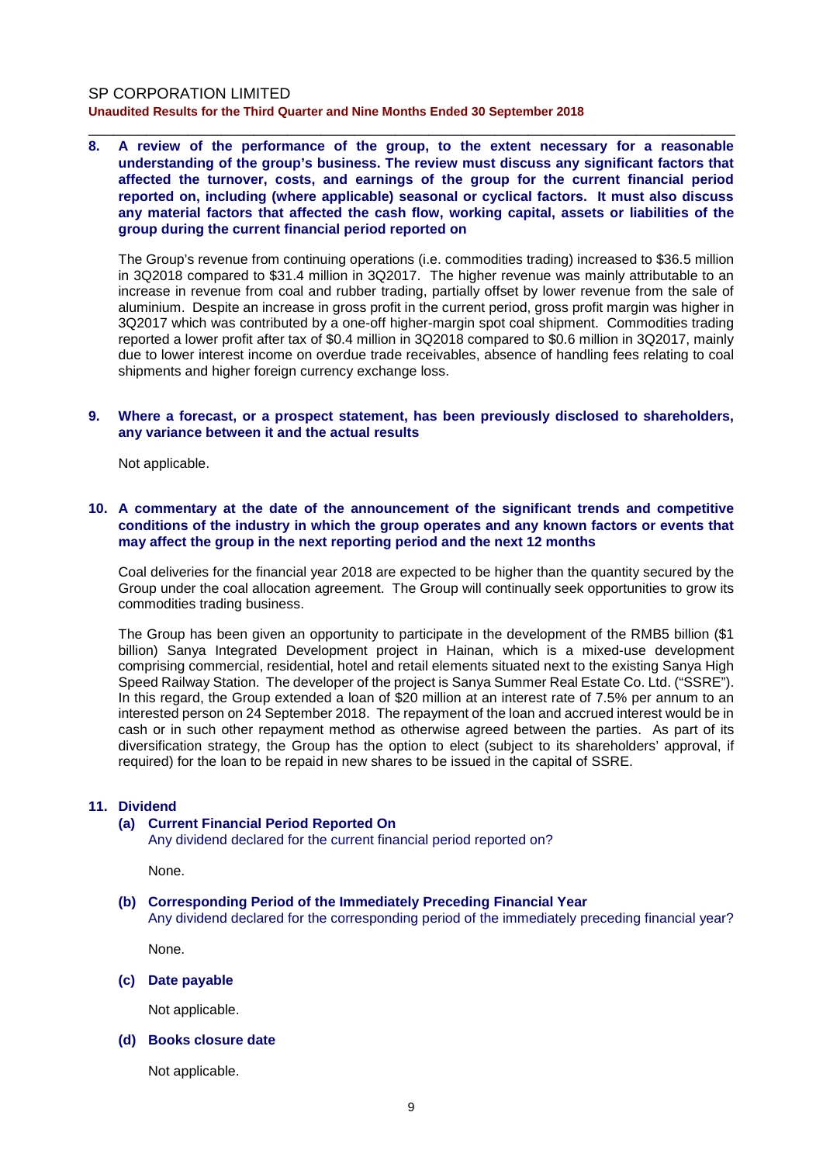**8. A review of the performance of the group, to the extent necessary for a reasonable understanding of the group's business. The review must discuss any significant factors that affected the turnover, costs, and earnings of the group for the current financial period reported on, including (where applicable) seasonal or cyclical factors. It must also discuss any material factors that affected the cash flow, working capital, assets or liabilities of the group during the current financial period reported on**

\_\_\_\_\_\_\_\_\_\_\_\_\_\_\_\_\_\_\_\_\_\_\_\_\_\_\_\_\_\_\_\_\_\_\_\_\_\_\_\_\_\_\_\_\_\_\_\_\_\_\_\_\_\_\_\_\_\_\_\_\_\_\_\_\_\_\_\_\_\_\_\_\_\_\_\_\_\_

The Group's revenue from continuing operations (i.e. commodities trading) increased to \$36.5 million in 3Q2018 compared to \$31.4 million in 3Q2017. The higher revenue was mainly attributable to an increase in revenue from coal and rubber trading, partially offset by lower revenue from the sale of aluminium. Despite an increase in gross profit in the current period, gross profit margin was higher in 3Q2017 which was contributed by a one-off higher-margin spot coal shipment. Commodities trading reported a lower profit after tax of \$0.4 million in 3Q2018 compared to \$0.6 million in 3Q2017, mainly due to lower interest income on overdue trade receivables, absence of handling fees relating to coal shipments and higher foreign currency exchange loss.

#### **9. Where a forecast, or a prospect statement, has been previously disclosed to shareholders, any variance between it and the actual results**

Not applicable.

#### **10. A commentary at the date of the announcement of the significant trends and competitive conditions of the industry in which the group operates and any known factors or events that may affect the group in the next reporting period and the next 12 months**

Coal deliveries for the financial year 2018 are expected to be higher than the quantity secured by the Group under the coal allocation agreement. The Group will continually seek opportunities to grow its commodities trading business.

The Group has been given an opportunity to participate in the development of the RMB5 billion (\$1 billion) Sanya Integrated Development project in Hainan, which is a mixed-use development comprising commercial, residential, hotel and retail elements situated next to the existing Sanya High Speed Railway Station. The developer of the project is Sanya Summer Real Estate Co. Ltd. ("SSRE"). In this regard, the Group extended a loan of \$20 million at an interest rate of 7.5% per annum to an interested person on 24 September 2018. The repayment of the loan and accrued interest would be in cash or in such other repayment method as otherwise agreed between the parties. As part of its diversification strategy, the Group has the option to elect (subject to its shareholders' approval, if required) for the loan to be repaid in new shares to be issued in the capital of SSRE.

#### **11. Dividend**

### **(a) Current Financial Period Reported On**

Any dividend declared for the current financial period reported on?

None.

### **(b) Corresponding Period of the Immediately Preceding Financial Year**

Any dividend declared for the corresponding period of the immediately preceding financial year?

None.

**(c) Date payable**

Not applicable.

#### **(d) Books closure date**

Not applicable.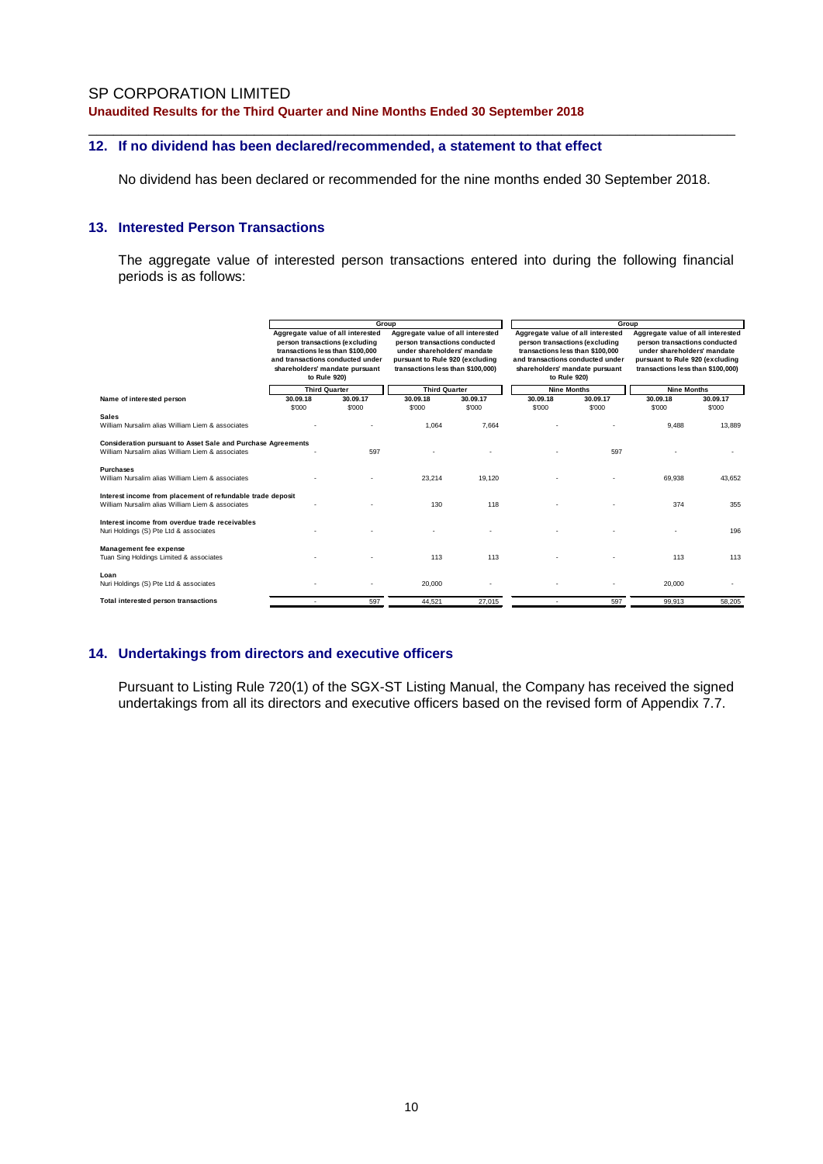# **12. If no dividend has been declared/recommended, a statement to that effect**

No dividend has been declared or recommended for the nine months ended 30 September 2018.

\_\_\_\_\_\_\_\_\_\_\_\_\_\_\_\_\_\_\_\_\_\_\_\_\_\_\_\_\_\_\_\_\_\_\_\_\_\_\_\_\_\_\_\_\_\_\_\_\_\_\_\_\_\_\_\_\_\_\_\_\_\_\_\_\_\_\_\_\_\_\_\_\_\_\_\_\_\_

### **13. Interested Person Transactions**

The aggregate value of interested person transactions entered into during the following financial periods is as follows:

|                                                                                                                  |                                                                                                                                                                                                                       |          |                                                                                                                                                                                                   | Group           |                                                                                                                                                                                                                     |          |                                                                                                                                                                                                 | Group            |  |
|------------------------------------------------------------------------------------------------------------------|-----------------------------------------------------------------------------------------------------------------------------------------------------------------------------------------------------------------------|----------|---------------------------------------------------------------------------------------------------------------------------------------------------------------------------------------------------|-----------------|---------------------------------------------------------------------------------------------------------------------------------------------------------------------------------------------------------------------|----------|-------------------------------------------------------------------------------------------------------------------------------------------------------------------------------------------------|------------------|--|
|                                                                                                                  | Aggregate value of all interested<br>person transactions (excluding<br>transactions less than \$100,000<br>and transactions conducted under<br>shareholders' mandate pursuant<br>to Rule 920)<br><b>Third Quarter</b> |          | Aggregate value of all interested<br>person transactions conducted<br>under shareholders' mandate<br>pursuant to Rule 920 (excluding<br>transactions less than \$100,000)<br><b>Third Quarter</b> |                 | Aggregate value of all interested<br>person transactions (excluding<br>transactions less than \$100,000<br>and transactions conducted under<br>shareholders' mandate pursuant<br>to Rule 920)<br><b>Nine Months</b> |          | Aggregate value of all interested<br>person transactions conducted<br>under shareholders' mandate<br>pursuant to Rule 920 (excluding<br>transactions less than \$100,000)<br><b>Nine Months</b> |                  |  |
|                                                                                                                  |                                                                                                                                                                                                                       |          |                                                                                                                                                                                                   |                 |                                                                                                                                                                                                                     |          |                                                                                                                                                                                                 |                  |  |
| Name of interested person                                                                                        | 30.09.18                                                                                                                                                                                                              | 30.09.17 | 30.09.18                                                                                                                                                                                          | 30.09.17        | 30.09.18                                                                                                                                                                                                            | 30.09.17 | 30.09.18                                                                                                                                                                                        | 30.09.17         |  |
| <b>Sales</b><br>William Nursalim alias William Liem & associates                                                 | \$'000                                                                                                                                                                                                                | \$'000   | \$'000<br>1,064                                                                                                                                                                                   | \$'000<br>7,664 | \$'000                                                                                                                                                                                                              | \$'000   | \$'000<br>9,488                                                                                                                                                                                 | \$'000<br>13,889 |  |
| Consideration pursuant to Asset Sale and Purchase Agreements<br>William Nursalim alias William Liem & associates |                                                                                                                                                                                                                       | 597      |                                                                                                                                                                                                   |                 |                                                                                                                                                                                                                     | 597      |                                                                                                                                                                                                 |                  |  |
| <b>Purchases</b><br>William Nursalim alias William Liem & associates                                             |                                                                                                                                                                                                                       |          | 23.214                                                                                                                                                                                            | 19.120          |                                                                                                                                                                                                                     |          | 69.938                                                                                                                                                                                          | 43.652           |  |
| Interest income from placement of refundable trade deposit<br>William Nursalim alias William Liem & associates   |                                                                                                                                                                                                                       |          | 130                                                                                                                                                                                               | 118             |                                                                                                                                                                                                                     |          | 374                                                                                                                                                                                             | 355              |  |
| Interest income from overdue trade receivables<br>Nuri Holdings (S) Pte Ltd & associates                         |                                                                                                                                                                                                                       |          |                                                                                                                                                                                                   |                 |                                                                                                                                                                                                                     |          |                                                                                                                                                                                                 | 196              |  |
| Management fee expense<br>Tuan Sing Holdings Limited & associates                                                |                                                                                                                                                                                                                       |          | 113                                                                                                                                                                                               | 113             |                                                                                                                                                                                                                     |          | 113                                                                                                                                                                                             | 113              |  |
| Loan<br>Nuri Holdings (S) Pte Ltd & associates                                                                   |                                                                                                                                                                                                                       |          | 20,000                                                                                                                                                                                            |                 |                                                                                                                                                                                                                     |          | 20,000                                                                                                                                                                                          |                  |  |
| Total interested person transactions                                                                             |                                                                                                                                                                                                                       | 597      | 44,521                                                                                                                                                                                            | 27,015          |                                                                                                                                                                                                                     | 597      | 99,913                                                                                                                                                                                          | 58,205           |  |

### **14. Undertakings from directors and executive officers**

Pursuant to Listing Rule 720(1) of the SGX-ST Listing Manual, the Company has received the signed undertakings from all its directors and executive officers based on the revised form of Appendix 7.7.